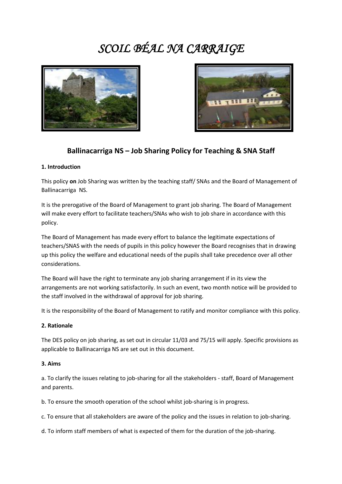# *SCOIL BÉAL NA CARRAIGE*





# **Ballinacarriga NS – Job Sharing Policy for Teaching & SNA Staff**

#### **1. Introduction**

This policy **on** Job Sharing was written by the teaching staff/ SNAs and the Board of Management of Ballinacarriga NS.

It is the prerogative of the Board of Management to grant job sharing. The Board of Management will make every effort to facilitate teachers/SNAs who wish to job share in accordance with this policy.

The Board of Management has made every effort to balance the legitimate expectations of teachers/SNAS with the needs of pupils in this policy however the Board recognises that in drawing up this policy the welfare and educational needs of the pupils shall take precedence over all other considerations.

The Board will have the right to terminate any job sharing arrangement if in its view the arrangements are not working satisfactorily. In such an event, two month notice will be provided to the staff involved in the withdrawal of approval for job sharing.

It is the responsibility of the Board of Management to ratify and monitor compliance with this policy.

#### **2. Rationale**

The DES policy on job sharing, as set out in circular 11/03 and 75/15 will apply. Specific provisions as applicable to Ballinacarriga NS are set out in this document.

#### **3. Aims**

a. To clarify the issues relating to job-sharing for all the stakeholders - staff, Board of Management and parents.

b. To ensure the smooth operation of the school whilst job-sharing is in progress.

c. To ensure that all stakeholders are aware of the policy and the issues in relation to job-sharing.

d. To inform staff members of what is expected of them for the duration of the job-sharing.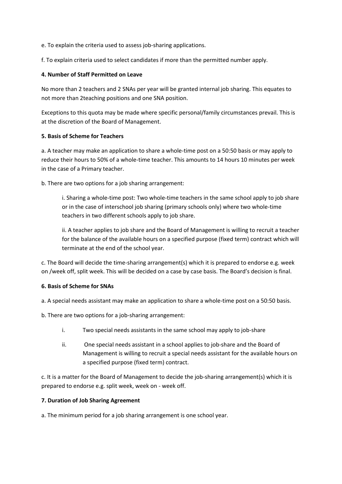e. To explain the criteria used to assess job-sharing applications.

f. To explain criteria used to select candidates if more than the permitted number apply.

#### **4. Number of Staff Permitted on Leave**

No more than 2 teachers and 2 SNAs per year will be granted internal job sharing. This equates to not more than 2teaching positions and one SNA position.

Exceptions to this quota may be made where specific personal/family circumstances prevail. This is at the discretion of the Board of Management.

#### **5. Basis of Scheme for Teachers**

a. A teacher may make an application to share a whole-time post on a 50:50 basis or may apply to reduce their hours to 50% of a whole-time teacher. This amounts to 14 hours 10 minutes per week in the case of a Primary teacher.

b. There are two options for a job sharing arrangement:

i. Sharing a whole-time post: Two whole-time teachers in the same school apply to job share or in the case of interschool job sharing (primary schools only) where two whole-time teachers in two different schools apply to job share.

ii. A teacher applies to job share and the Board of Management is willing to recruit a teacher for the balance of the available hours on a specified purpose (fixed term) contract which will terminate at the end of the school year.

c. The Board will decide the time-sharing arrangement(s) which it is prepared to endorse e.g. week on /week off, split week. This will be decided on a case by case basis. The Board's decision is final.

#### **6. Basis of Scheme for SNAs**

a. A special needs assistant may make an application to share a whole-time post on a 50:50 basis.

b. There are two options for a job-sharing arrangement:

- i. Two special needs assistants in the same school may apply to job-share
- ii. One special needs assistant in a school applies to job-share and the Board of Management is willing to recruit a special needs assistant for the available hours on a specified purpose (fixed term) contract.

c. It is a matter for the Board of Management to decide the job-sharing arrangement(s) which it is prepared to endorse e.g. split week, week on - week off.

#### **7. Duration of Job Sharing Agreement**

a. The minimum period for a job sharing arrangement is one school year.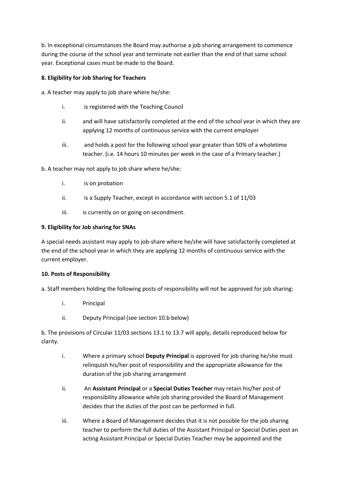b. In exceptional circumstances the Board may authorise a job sharing arrangement to commence during the course of the school year and terminate not earlier than the end of that same school year. Exceptional cases must be made to the Board.

## **8. Eligibility for Job Sharing for Teachers**

a. A teacher may apply to job share where he/she:

- i. is registered with the Teaching Council
- ii. and will have satisfactorily completed at the end of the school year in which they are applying 12 months of continuous service with the current employer
- iii. and holds a post for the following school year greater than 50% of a wholetime teacher. (i.e. 14 hours 10 minutes per week in the case of a Primary teacher.)

b. A teacher may not apply to job share where he/she:

- i. is on probation
- ii. is a Supply Teacher, except in accordance with section 5.1 of 11/03
- iii. is currently on or going on secondment.

#### **9. Eligibility for Job sharing for SNAs**

A special needs assistant may apply to job-share where he/she will have satisfactorily completed at the end of the school year in which they are applying 12 months of continuous service with the current employer.

#### **10. Posts of Responsibility**

a. Staff members holding the following posts of responsibility will not be approved for job sharing:

- i. Principal
- ii. Deputy Principal (see section 10.b below)

b. The provisions of Circular 11/03 sections 13.1 to 13.7 will apply, details reproduced below for clarity.

- i. Where a primary school **Deputy Principal** is approved for job sharing he/she must relinquish his/her post of responsibility and the appropriate allowance for the duration of the job sharing arrangement
- ii. An **Assistant Principal** or a **Special Duties Teacher** may retain his/her post of responsibility allowance while job sharing provided the Board of Management decides that the duties of the post can be performed in full.
- iii. Where a Board of Management decides that it is not possible for the job sharing teacher to perform the full duties of the Assistant Principal or Special Duties post an acting Assistant Principal or Special Duties Teacher may be appointed and the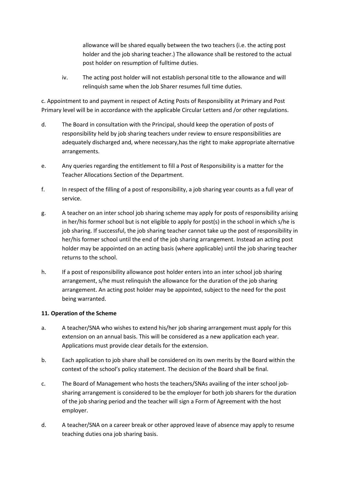allowance will be shared equally between the two teachers (i.e. the acting post holder and the job sharing teacher.) The allowance shall be restored to the actual post holder on resumption of fulltime duties.

iv. The acting post holder will not establish personal title to the allowance and will relinquish same when the Job Sharer resumes full time duties.

c. Appointment to and payment in respect of Acting Posts of Responsibility at Primary and Post Primary level will be in accordance with the applicable Circular Letters and /or other regulations.

- d. The Board in consultation with the Principal, should keep the operation of posts of responsibility held by job sharing teachers under review to ensure responsibilities are adequately discharged and, where necessary,has the right to make appropriate alternative arrangements.
- e. Any queries regarding the entitlement to fill a Post of Responsibility is a matter for the Teacher Allocations Section of the Department.
- f. In respect of the filling of a post of responsibility, a job sharing year counts as a full year of service.
- g. A teacher on an inter school job sharing scheme may apply for posts of responsibility arising in her/his former school but is not eligible to apply for post(s) in the school in which s/he is job sharing. If successful, the job sharing teacher cannot take up the post of responsibility in her/his former school until the end of the job sharing arrangement. Instead an acting post holder may be appointed on an acting basis (where applicable) until the job sharing teacher returns to the school.
- h. If a post of responsibility allowance post holder enters into an inter school job sharing arrangement, s/he must relinquish the allowance for the duration of the job sharing arrangement. An acting post holder may be appointed, subject to the need for the post being warranted.

#### **11. Operation of the Scheme**

- a. A teacher/SNA who wishes to extend his/her job sharing arrangement must apply for this extension on an annual basis. This will be considered as a new application each year. Applications must provide clear details for the extension.
- b. Each application to job share shall be considered on its own merits by the Board within the context of the school's policy statement. The decision of the Board shall be final.
- c. The Board of Management who hosts the teachers/SNAs availing of the inter school jobsharing arrangement is considered to be the employer for both job sharers for the duration of the job sharing period and the teacher will sign a Form of Agreement with the host employer.
- d. A teacher/SNA on a career break or other approved leave of absence may apply to resume teaching duties ona job sharing basis.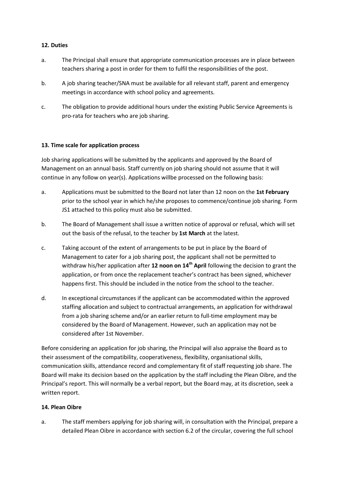#### **12. Duties**

- a. The Principal shall ensure that appropriate communication processes are in place between teachers sharing a post in order for them to fulfil the responsibilities of the post.
- b. A job sharing teacher/SNA must be available for all relevant staff, parent and emergency meetings in accordance with school policy and agreements.
- c. The obligation to provide additional hours under the existing Public Service Agreements is pro-rata for teachers who are job sharing.

#### **13. Time scale for application process**

Job sharing applications will be submitted by the applicants and approved by the Board of Management on an annual basis. Staff currently on job sharing should not assume that it will continue in any follow on year(s). Applications willbe processed on the following basis:

- a. Applications must be submitted to the Board not later than 12 noon on the **1st February** prior to the school year in which he/she proposes to commence/continue job sharing. Form JS1 attached to this policy must also be submitted.
- b. The Board of Management shall issue a written notice of approval or refusal, which will set out the basis of the refusal, to the teacher by **1st March** at the latest.
- c. Taking account of the extent of arrangements to be put in place by the Board of Management to cater for a job sharing post, the applicant shall not be permitted to withdraw his/her application after **12 noon on 14th April** following the decision to grant the application, or from once the replacement teacher's contract has been signed, whichever happens first. This should be included in the notice from the school to the teacher.
- d. In exceptional circumstances if the applicant can be accommodated within the approved staffing allocation and subject to contractual arrangements, an application for withdrawal from a job sharing scheme and/or an earlier return to full-time employment may be considered by the Board of Management. However, such an application may not be considered after 1st November.

Before considering an application for job sharing, the Principal will also appraise the Board as to their assessment of the compatibility, cooperativeness, flexibility, organisational skills, communication skills, attendance record and complementary fit of staff requesting job share. The Board will make its decision based on the application by the staff including the Plean Oibre, and the Principal's report. This will normally be a verbal report, but the Board may, at its discretion, seek a written report.

# **14. Plean Oibre**

a. The staff members applying for job sharing will, in consultation with the Principal, prepare a detailed Plean Oibre in accordance with section 6.2 of the circular, covering the full school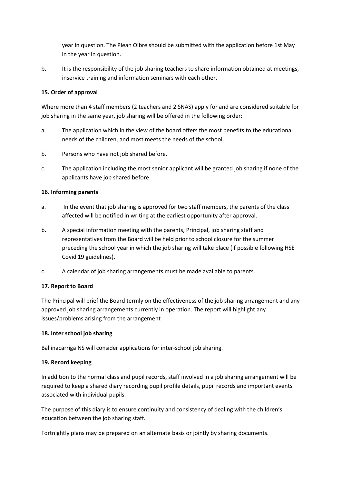year in question. The Plean Oibre should be submitted with the application before 1st May in the year in question.

b. It is the responsibility of the job sharing teachers to share information obtained at meetings, inservice training and information seminars with each other.

## **15. Order of approval**

Where more than 4 staff members (2 teachers and 2 SNAS) apply for and are considered suitable for job sharing in the same year, job sharing will be offered in the following order:

- a. The application which in the view of the board offers the most benefits to the educational needs of the children, and most meets the needs of the school.
- b. Persons who have not job shared before.
- c. The application including the most senior applicant will be granted job sharing if none of the applicants have job shared before.

#### **16. Informing parents**

- a. In the event that job sharing is approved for two staff members, the parents of the class affected will be notified in writing at the earliest opportunity after approval.
- b. A special information meeting with the parents, Principal, job sharing staff and representatives from the Board will be held prior to school closure for the summer preceding the school year in which the job sharing will take place (if possible following HSE Covid 19 guidelines).
- c. A calendar of job sharing arrangements must be made available to parents.

# **17. Report to Board**

The Principal will brief the Board termly on the effectiveness of the job sharing arrangement and any approved job sharing arrangements currently in operation. The report will highlight any issues/problems arising from the arrangement

#### **18. Inter school job sharing**

Ballinacarriga NS will consider applications for inter-school job sharing.

# **19. Record keeping**

In addition to the normal class and pupil records, staff involved in a job sharing arrangement will be required to keep a shared diary recording pupil profile details, pupil records and important events associated with individual pupils.

The purpose of this diary is to ensure continuity and consistency of dealing with the children's education between the job sharing staff.

Fortnightly plans may be prepared on an alternate basis or jointly by sharing documents.